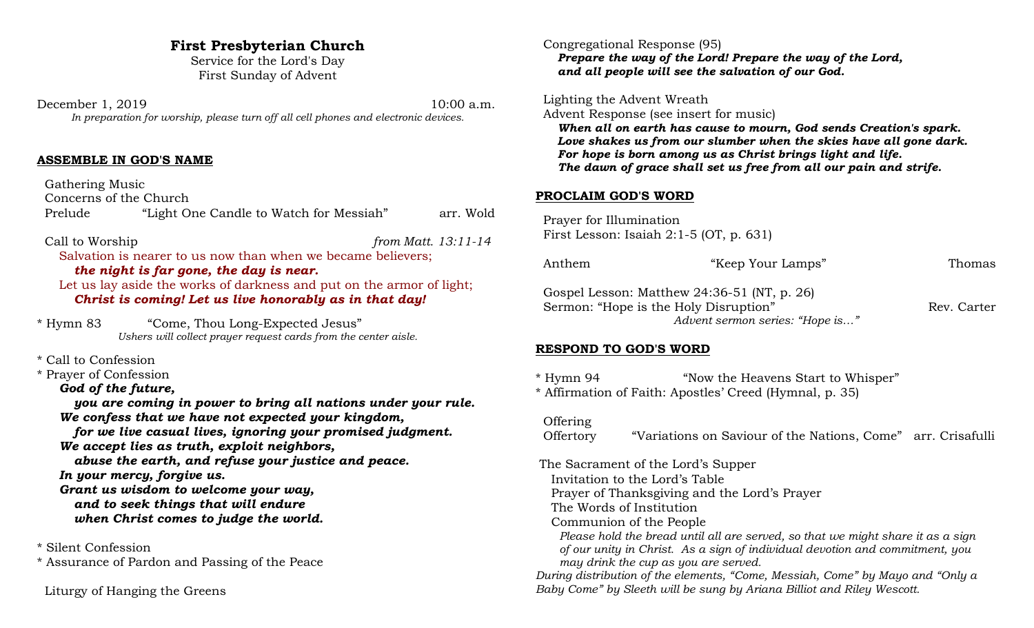# **First Presbyterian Church**

Service for the Lord's Day First Sunday of Advent

December 1, 2019 10:00 a.m. *In preparation for worship, please turn off all cell phones and electronic devices.*

# **ASSEMBLE IN GOD'S NAME**

 Gathering Music Concerns of the Church Prelude "Light One Candle to Watch for Messiah" arr. Wold

 Call to Worship *from Matt. 13:11-14* Salvation is nearer to us now than when we became believers; *the night is far gone, the day is near.*

Let us lay aside the works of darkness and put on the armor of light; *Christ is coming! Let us live honorably as in that day!*

\* Hymn 83 "Come, Thou Long-Expected Jesus" *Ushers will collect prayer request cards from the center aisle.*

\* Call to Confession

\* Prayer of Confession

*God of the future,*

*you are coming in power to bring all nations under your rule. We confess that we have not expected your kingdom, for we live casual lives, ignoring your promised judgment. We accept lies as truth, exploit neighbors, abuse the earth, and refuse your justice and peace. In your mercy, forgive us. Grant us wisdom to welcome your way, and to seek things that will endure when Christ comes to judge the world.*

\* Silent Confession

\* Assurance of Pardon and Passing of the Peace

Liturgy of Hanging the Greens

 Congregational Response (95) *Prepare the way of the Lord! Prepare the way of the Lord, and all people will see the salvation of our God.*

Lighting the Advent Wreath

Advent Response (see insert for music)

*When all on earth has cause to mourn, God sends Creation's spark. Love shakes us from our slumber when the skies have all gone dark. For hope is born among us as Christ brings light and life. The dawn of grace shall set us free from all our pain and strife.*

#### **PROCLAIM GOD'S WORD**

 Prayer for Illumination First Lesson: Isaiah 2:1-5 (OT, p. 631)

| Anthem                                                                                                                    | "Keep Your Lamps" | Thomas      |
|---------------------------------------------------------------------------------------------------------------------------|-------------------|-------------|
| Gospel Lesson: Matthew $24:36-51$ (NT, p. 26)<br>Sermon: "Hope is the Holy Disruption"<br>Advent sermon series: "Hope is" |                   | Rev. Carter |

# **RESPOND TO GOD'S WORD**

\* Hymn 94 "Now the Heavens Start to Whisper" \* Affirmation of Faith: Apostles' Creed (Hymnal, p. 35)

# **Offering**

Offertory "Variations on Saviour of the Nations, Come" arr. Crisafulli

 The Sacrament of the Lord's Supper Invitation to the Lord's Table Prayer of Thanksgiving and the Lord's Prayer The Words of Institution Communion of the People  *Please hold the bread until all are served, so that we might share it as a sign of our unity in Christ. As a sign of individual devotion and commitment, you may drink the cup as you are served. During distribution of the elements, "Come, Messiah, Come" by Mayo and "Only a Baby Come" by Sleeth will be sung by Ariana Billiot and Riley Wescott.*